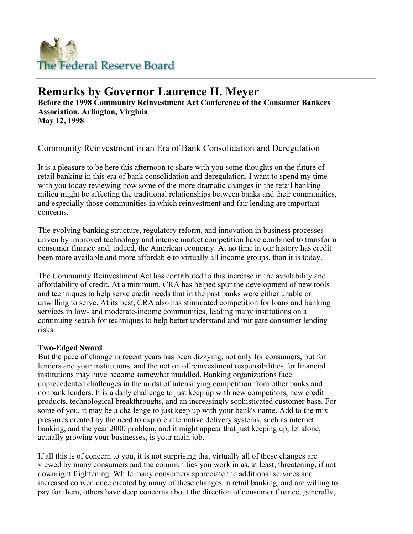

# **Remarks by Governor Laurence H. Meyer**

**Before the 1998 Community Reinvestment Act Conference of the Consumer Bankers Association, Arlington, Virginia May 12, 1998**

Community Reinvestment in an Era of Bank Consolidation and Deregulation

It is a pleasure to be here this afternoon to share with you some thoughts on the future of retail banking in this era of bank consolidation and deregulation. I want to spend my time with you today reviewing how some of the more dramatic changes in the retail banking milieu might be affecting the traditional relationships between banks and their communities, and especially those communities in which reinvestment and fair lending are important concerns.

The evolving banking structure, regulatory reform, and innovation in business processes driven by improved technology and intense market competition have combined to transform consumer finance and, indeed, the American economy. At no time in our history has credit been more available and more affordable to virtually all income groups, than it is today.

The Community Reinvestment Act has contributed to this increase in the availability and affordability of credit. At a minimum, CRA has helped spur the development of new tools and techniques to help serve credit needs that in the past banks were either unable or unwilling to serve. At its best, CRA also has stimulated competition for loans and banking services in low- and moderate-income communities, leading many institutions on a continuing search for techniques to help better understand and mitigate consumer lending risks.

## **Two-Edged Sword**

But the pace of change in recent years has been dizzying, not only for consumers, but for lenders and your institutions, and the notion of reinvestment responsibilities for financial institutions may have become somewhat muddled. Banking organizations face unprecedented challenges in the midst of intensifying competition from other banks and nonbank lenders. It is a daily challenge to just keep up with new competitors, new credit products, technological breakthroughs, and an increasingly sophisticated customer base. For some of you, it may be a challenge to just keep up with your bank's name. Add to the mix pressures created by the need to explore alternative delivery systems, such as internet banking, and the year 2000 problem, and it might appear that just keeping up, let alone, actually growing your businesses, is your main job.

If all this is of concern to you, it is not surprising that virtually all of these changes are viewed by many consumers and the communities you work in as, at least, threatening, if not downright frightening. While many consumers appreciate the additional services and increased convenience created by many of these changes in retail banking, and are willing to pay for them, others have deep concerns about the direction of consumer finance, generally,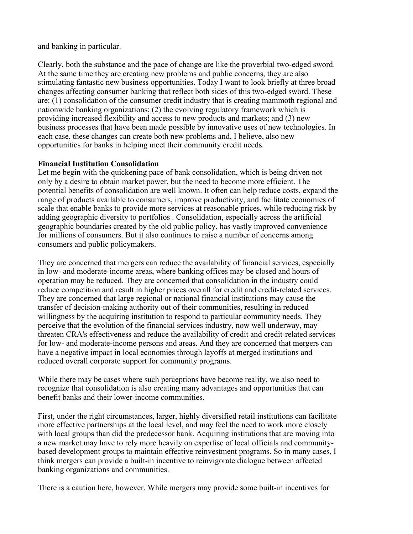and banking in particular.

Clearly, both the substance and the pace of change are like the proverbial two-edged sword. At the same time they are creating new problems and public concerns, they are also stimulating fantastic new business opportunities. Today I want to look briefly at three broad changes affecting consumer banking that reflect both sides of this two-edged sword. These are: (1) consolidation of the consumer credit industry that is creating mammoth regional and nationwide banking organizations; (2) the evolving regulatory framework which is providing increased flexibility and access to new products and markets; and (3) new business processes that have been made possible by innovative uses of new technologies. In each case, these changes can create both new problems and, I believe, also new opportunities for banks in helping meet their community credit needs.

## **Financial Institution Consolidation**

Let me begin with the quickening pace of bank consolidation, which is being driven not only by a desire to obtain market power, but the need to become more efficient. The potential benefits of consolidation are well known. It often can help reduce costs, expand the range of products available to consumers, improve productivity, and facilitate economies of scale that enable banks to provide more services at reasonable prices, while reducing risk by adding geographic diversity to portfolios . Consolidation, especially across the artificial geographic boundaries created by the old public policy, has vastly improved convenience for millions of consumers. But it also continues to raise a number of concerns among consumers and public policymakers.

They are concerned that mergers can reduce the availability of financial services, especially in low- and moderate-income areas, where banking offices may be closed and hours of operation may be reduced. They are concerned that consolidation in the industry could reduce competition and result in higher prices overall for credit and credit-related services. They are concerned that large regional or national financial institutions may cause the transfer of decision-making authority out of their communities, resulting in reduced willingness by the acquiring institution to respond to particular community needs. They perceive that the evolution of the financial services industry, now well underway, may threaten CRA's effectiveness and reduce the availability of credit and credit-related services for low- and moderate-income persons and areas. And they are concerned that mergers can have a negative impact in local economies through layoffs at merged institutions and reduced overall corporate support for community programs.

While there may be cases where such perceptions have become reality, we also need to recognize that consolidation is also creating many advantages and opportunities that can benefit banks and their lower-income communities.

First, under the right circumstances, larger, highly diversified retail institutions can facilitate more effective partnerships at the local level, and may feel the need to work more closely with local groups than did the predecessor bank. Acquiring institutions that are moving into a new market may have to rely more heavily on expertise of local officials and communitybased development groups to maintain effective reinvestment programs. So in many cases, I think mergers can provide a built-in incentive to reinvigorate dialogue between affected banking organizations and communities.

There is a caution here, however. While mergers may provide some built-in incentives for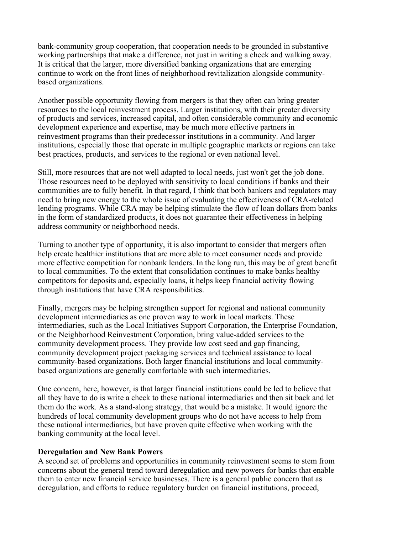bank-community group cooperation, that cooperation needs to be grounded in substantive working partnerships that make a difference, not just in writing a check and walking away. It is critical that the larger, more diversified banking organizations that are emerging continue to work on the front lines of neighborhood revitalization alongside communitybased organizations.

Another possible opportunity flowing from mergers is that they often can bring greater resources to the local reinvestment process. Larger institutions, with their greater diversity of products and services, increased capital, and often considerable community and economic development experience and expertise, may be much more effective partners in reinvestment programs than their predecessor institutions in a community. And larger institutions, especially those that operate in multiple geographic markets or regions can take best practices, products, and services to the regional or even national level.

Still, more resources that are not well adapted to local needs, just won't get the job done. Those resources need to be deployed with sensitivity to local conditions if banks and their communities are to fully benefit. In that regard, I think that both bankers and regulators may need to bring new energy to the whole issue of evaluating the effectiveness of CRA-related lending programs. While CRA may be helping stimulate the flow of loan dollars from banks in the form of standardized products, it does not guarantee their effectiveness in helping address community or neighborhood needs.

Turning to another type of opportunity, it is also important to consider that mergers often help create healthier institutions that are more able to meet consumer needs and provide more effective competition for nonbank lenders. In the long run, this may be of great benefit to local communities. To the extent that consolidation continues to make banks healthy competitors for deposits and, especially loans, it helps keep financial activity flowing through institutions that have CRA responsibilities.

Finally, mergers may be helping strengthen support for regional and national community development intermediaries as one proven way to work in local markets. These intermediaries, such as the Local Initiatives Support Corporation, the Enterprise Foundation, or the Neighborhood Reinvestment Corporation, bring value-added services to the community development process. They provide low cost seed and gap financing, community development project packaging services and technical assistance to local community-based organizations. Both larger financial institutions and local communitybased organizations are generally comfortable with such intermediaries.

One concern, here, however, is that larger financial institutions could be led to believe that all they have to do is write a check to these national intermediaries and then sit back and let them do the work. As a stand-along strategy, that would be a mistake. It would ignore the hundreds of local community development groups who do not have access to help from these national intermediaries, but have proven quite effective when working with the banking community at the local level.

#### **Deregulation and New Bank Powers**

A second set of problems and opportunities in community reinvestment seems to stem from concerns about the general trend toward deregulation and new powers for banks that enable them to enter new financial service businesses. There is a general public concern that as deregulation, and efforts to reduce regulatory burden on financial institutions, proceed,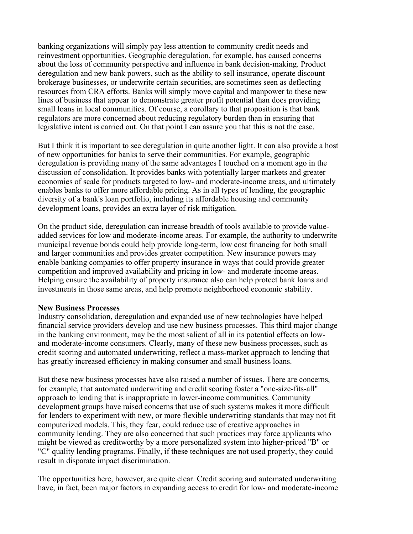banking organizations will simply pay less attention to community credit needs and reinvestment opportunities. Geographic deregulation, for example, has caused concerns about the loss of community perspective and influence in bank decision-making. Product deregulation and new bank powers, such as the ability to sell insurance, operate discount brokerage businesses, or underwrite certain securities, are sometimes seen as deflecting resources from CRA efforts. Banks will simply move capital and manpower to these new lines of business that appear to demonstrate greater profit potential than does providing small loans in local communities. Of course, a corollary to that proposition is that bank regulators are more concerned about reducing regulatory burden than in ensuring that legislative intent is carried out. On that point I can assure you that this is not the case.

But I think it is important to see deregulation in quite another light. It can also provide a host of new opportunities for banks to serve their communities. For example, geographic deregulation is providing many of the same advantages I touched on a moment ago in the discussion of consolidation. It provides banks with potentially larger markets and greater economies of scale for products targeted to low- and moderate-income areas, and ultimately enables banks to offer more affordable pricing. As in all types of lending, the geographic diversity of a bank's loan portfolio, including its affordable housing and community development loans, provides an extra layer of risk mitigation.

On the product side, deregulation can increase breadth of tools available to provide valueadded services for low and moderate-income areas. For example, the authority to underwrite municipal revenue bonds could help provide long-term, low cost financing for both small and larger communities and provides greater competition. New insurance powers may enable banking companies to offer property insurance in ways that could provide greater competition and improved availability and pricing in low- and moderate-income areas. Helping ensure the availability of property insurance also can help protect bank loans and investments in those same areas, and help promote neighborhood economic stability.

#### **New Business Processes**

Industry consolidation, deregulation and expanded use of new technologies have helped financial service providers develop and use new business processes. This third major change in the banking environment, may be the most salient of all in its potential effects on lowand moderate-income consumers. Clearly, many of these new business processes, such as credit scoring and automated underwriting, reflect a mass-market approach to lending that has greatly increased efficiency in making consumer and small business loans.

But these new business processes have also raised a number of issues. There are concerns, for example, that automated underwriting and credit scoring foster a "one-size-fits-all" approach to lending that is inappropriate in lower-income communities. Community development groups have raised concerns that use of such systems makes it more difficult for lenders to experiment with new, or more flexible underwriting standards that may not fit computerized models. This, they fear, could reduce use of creative approaches in community lending. They are also concerned that such practices may force applicants who might be viewed as creditworthy by a more personalized system into higher-priced "B" or "C" quality lending programs. Finally, if these techniques are not used properly, they could result in disparate impact discrimination.

The opportunities here, however, are quite clear. Credit scoring and automated underwriting have, in fact, been major factors in expanding access to credit for low- and moderate-income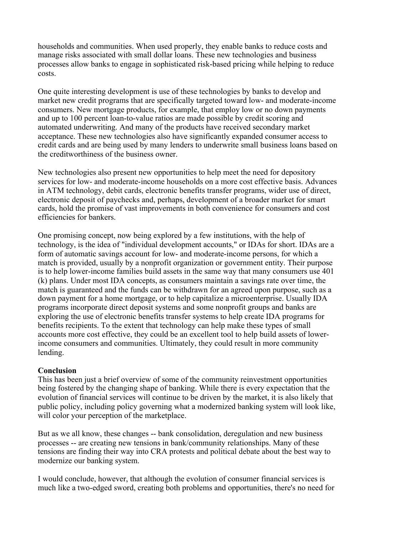households and communities. When used properly, they enable banks to reduce costs and manage risks associated with small dollar loans. These new technologies and business processes allow banks to engage in sophisticated risk-based pricing while helping to reduce costs.

One quite interesting development is use of these technologies by banks to develop and market new credit programs that are specifically targeted toward low- and moderate-income consumers. New mortgage products, for example, that employ low or no down payments and up to 100 percent loan-to-value ratios are made possible by credit scoring and automated underwriting. And many of the products have received secondary market acceptance. These new technologies also have significantly expanded consumer access to credit cards and are being used by many lenders to underwrite small business loans based on the creditworthiness of the business owner.

New technologies also present new opportunities to help meet the need for depository services for low- and moderate-income households on a more cost effective basis. Advances in ATM technology, debit cards, electronic benefits transfer programs, wider use of direct, electronic deposit of paychecks and, perhaps, development of a broader market for smart cards, hold the promise of vast improvements in both convenience for consumers and cost efficiencies for bankers.

One promising concept, now being explored by a few institutions, with the help of technology, is the idea of "individual development accounts," or IDAs for short. IDAs are a form of automatic savings account for low- and moderate-income persons, for which a match is provided, usually by a nonprofit organization or government entity. Their purpose is to help lower-income families build assets in the same way that many consumers use 401 (k) plans. Under most IDA concepts, as consumers maintain a savings rate over time, the match is guaranteed and the funds can be withdrawn for an agreed upon purpose, such as a down payment for a home mortgage, or to help capitalize a microenterprise. Usually IDA programs incorporate direct deposit systems and some nonprofit groups and banks are exploring the use of electronic benefits transfer systems to help create IDA programs for benefits recipients. To the extent that technology can help make these types of small accounts more cost effective, they could be an excellent tool to help build assets of lowerincome consumers and communities. Ultimately, they could result in more community lending.

## **Conclusion**

This has been just a brief overview of some of the community reinvestment opportunities being fostered by the changing shape of banking. While there is every expectation that the evolution of financial services will continue to be driven by the market, it is also likely that public policy, including policy governing what a modernized banking system will look like, will color your perception of the marketplace.

But as we all know, these changes -- bank consolidation, deregulation and new business processes -- are creating new tensions in bank/community relationships. Many of these tensions are finding their way into CRA protests and political debate about the best way to modernize our banking system.

I would conclude, however, that although the evolution of consumer financial services is much like a two-edged sword, creating both problems and opportunities, there's no need for